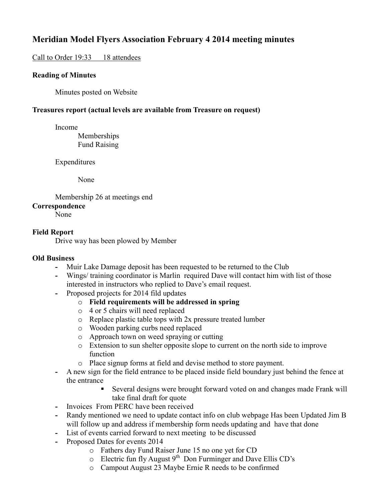# **Meridian Model Flyers Association February 4 2014 meeting minutes**

# Call to Order 19:33 18 attendees

## **Reading of Minutes**

Minutes posted on Website

# **Treasures report (actual levels are available from Treasure on request)**

Income

 Memberships Fund Raising

Expenditures

None

 Membership 26 at meetings end **Correspondence** 

None

## **Field Report**

Drive way has been plowed by Member

## **Old Business**

- **-** Muir Lake Damage deposit has been requested to be returned to the Club
- **-** Wings/ training coordinator is Marlin required Dave will contact him with list of those interested in instructors who replied to Dave's email request.
- **-** Proposed projects for 2014 fild updates
	- o **Field requirements will be addressed in spring**
	- o 4 or 5 chairs will need replaced
	- o Replace plastic table tops with 2x pressure treated lumber
	- o Wooden parking curbs need replaced
	- o Approach town on weed spraying or cutting
	- o Extension to sun shelter opposite slope to current on the north side to improve function
	- o Place signup forms at field and devise method to store payment.
- **-** A new sign for the field entrance to be placed inside field boundary just behind the fence at the entrance
	- Several designs were brought forward voted on and changes made Frank will take final draft for quote
- **-** Invoices From PERC have been received
- **-** Randy mentioned we need to update contact info on club webpage Has been Updated Jim B will follow up and address if membership form needs updating and have that done
- **-** List of events carried forward to next meeting to be discussed
- **-** Proposed Dates for events 2014
	- o Fathers day Fund Raiser June 15 no one yet for CD
	- $\circ$  Electric fun fly August 9<sup>th</sup> Don Furminger and Dave Ellis CD's
	- o Campout August 23 Maybe Ernie R needs to be confirmed